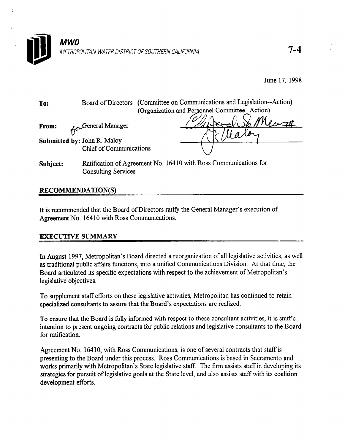

June 17, 1998

| To:                         |                                | Board of Directors (Committee on Communications and Legislation--Action)<br>(Organization and Personnel Committee--Action) |  |  |
|-----------------------------|--------------------------------|----------------------------------------------------------------------------------------------------------------------------|--|--|
| From:                       | General Manager                |                                                                                                                            |  |  |
| Submitted by: John R. Maloy | <b>Chief of Communications</b> |                                                                                                                            |  |  |
| Subject:                    | <b>Consulting Services</b>     | Ratification of Agreement No. 16410 with Ross Communications for                                                           |  |  |

## RECOMMENDATION(S)

It is recommended that the Board of Directors ratify the General Manager's execution of Agreement No. 16410 with Ross Communications.

## EXECUTIVE SUMMARY

In August 1997, Metropolitan's Board directed a reorganization of all legislative activities, as well as traditional public affairs functions, into a unified Communications Division. At that time, the Board articulated its specific expectations with respect to the achievement of Metropolitan's legislative objectives.

To supplement staff efforts on these legislative activities, Metropolitan has continued to retain specialized consultants to assure that the Board's expectations are realized.

To ensure that the Board is fully informed with respect to these consultant activities, it is staff's intention to present ongoing contracts for public relations and legislative consultants to the Board for ratification.

Agreement No. 16410, with Ross Communications, is one of several contracts that staff is presenting to the Board under this process. Ross Communications is based in Sacramento and works primarily with Metropolitan's State legislative staff. The firm assists staff in developing its strategies for pursuit of legislative goals at the State level, and also assists staff with its coalition development efforts.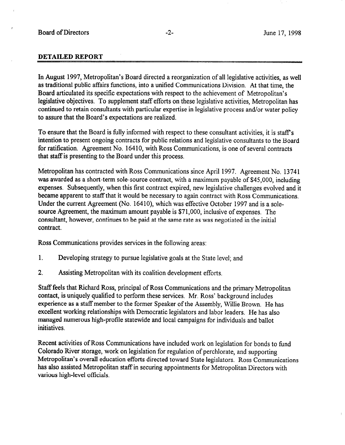## DETAILED REPORT

In August 1997, Metropolitan's Board directed a reorganization of all legislative activities, as well as traditional public affairs functions, into a unified Communications Division. At that time, the Board articulated its specific expectations with respect to the achievement of Metropolitan's legislative objectives. To supplement staff efforts on these legislative activities, Metropolitan has continued to retain consultants with particular expertise in legislative process and/or water policy to assure that the Board's expectations are realized.

To ensure that the Board is fully informed with respect to these consultant activities, it is staff's intention to present ongoing contracts for public relations and legislative consultants to the Board for ratification. Agreement No. 16410, with Ross Communications, is one of several contracts that staff is presenting to the Board under this process.

Metropolitan has contracted with Ross Communications since April 1997. Agreement No. 13741 was awarded as a short-term sole-source contract, with a maximum payable of \$45,000, including expenses. Subsequently, when this first contract expired, new legislative challenges evolved and it became apparent to staff that it would be necessary to again contract with Ross Communications. Under the current Agreement (No. 16410), which was effective October 1997 and is a solesource Agreement, the maximum amount payable is \$71,000, inclusive of expenses. The consultant, however, continues to be paid at the same rate as was negotiated in the initial contract.

Ross Communications provides services in the following areas:

- 1. Developing strategy to pursue legislative goals at the State level; and
- 2. Assisting Metropolitan with its coalition development efforts.

Staff feels that Richard Ross, principal of Ross Communications and the primary Metropolitan contact, is uniquely qualified to perform these services. Mr. Ross' background includes experience as a staff member to the former Speaker of the Assembly, Willie Brown. He has excellent working relationships with Democratic legislators and labor leaders. He has also managed numerous high-profile statewide and local campaigns for individuals and ballot initiatives.

Recent activities of Ross Communications have included work on legislation for bonds to fund Colorado River storage, work on legislation for regulation of perchlorate, and supporting Metropolitan's overall education efforts directed toward State legislators. Ross Communications has also assisted Metropolitan staff in securing appointments for Metropolitan Directors with various high-level officials.